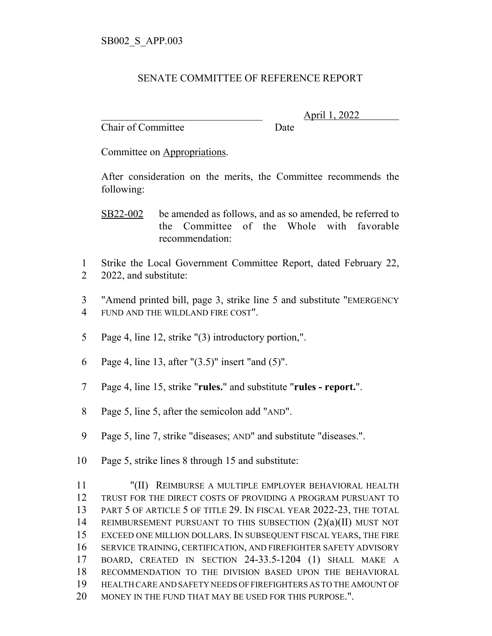## SENATE COMMITTEE OF REFERENCE REPORT

Chair of Committee Date

\_\_\_\_\_\_\_\_\_\_\_\_\_\_\_\_\_\_\_\_\_\_\_\_\_\_\_\_\_\_\_ April 1, 2022

Committee on Appropriations.

After consideration on the merits, the Committee recommends the following:

SB22-002 be amended as follows, and as so amended, be referred to the Committee of the Whole with favorable recommendation:

- 1 Strike the Local Government Committee Report, dated February 22, 2 2022, and substitute:
- 3 "Amend printed bill, page 3, strike line 5 and substitute "EMERGENCY 4 FUND AND THE WILDLAND FIRE COST".
- 5 Page 4, line 12, strike "(3) introductory portion,".
- 6 Page 4, line 13, after "(3.5)" insert "and (5)".
- 7 Page 4, line 15, strike "**rules.**" and substitute "**rules report.**".
- 8 Page 5, line 5, after the semicolon add "AND".
- 9 Page 5, line 7, strike "diseases; AND" and substitute "diseases.".
- 10 Page 5, strike lines 8 through 15 and substitute:

 "(II) REIMBURSE A MULTIPLE EMPLOYER BEHAVIORAL HEALTH TRUST FOR THE DIRECT COSTS OF PROVIDING A PROGRAM PURSUANT TO PART 5 OF ARTICLE 5 OF TITLE 29. IN FISCAL YEAR 2022-23, THE TOTAL REIMBURSEMENT PURSUANT TO THIS SUBSECTION (2)(a)(II) MUST NOT EXCEED ONE MILLION DOLLARS. IN SUBSEQUENT FISCAL YEARS, THE FIRE SERVICE TRAINING, CERTIFICATION, AND FIREFIGHTER SAFETY ADVISORY BOARD, CREATED IN SECTION 24-33.5-1204 (1) SHALL MAKE A RECOMMENDATION TO THE DIVISION BASED UPON THE BEHAVIORAL HEALTH CARE AND SAFETY NEEDS OF FIREFIGHTERS AS TO THE AMOUNT OF 20 MONEY IN THE FUND THAT MAY BE USED FOR THIS PURPOSE.".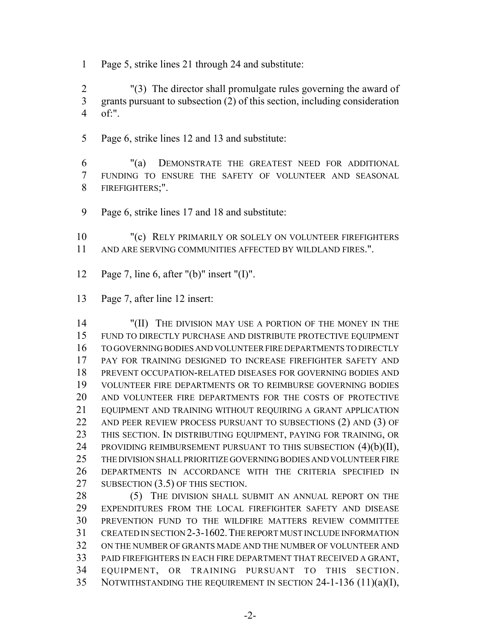Page 5, strike lines 21 through 24 and substitute:

 "(3) The director shall promulgate rules governing the award of grants pursuant to subsection (2) of this section, including consideration of:".

Page 6, strike lines 12 and 13 and substitute:

 "(a) DEMONSTRATE THE GREATEST NEED FOR ADDITIONAL FUNDING TO ENSURE THE SAFETY OF VOLUNTEER AND SEASONAL FIREFIGHTERS;".

Page 6, strike lines 17 and 18 and substitute:

10 "(c) RELY PRIMARILY OR SOLELY ON VOLUNTEER FIREFIGHTERS AND ARE SERVING COMMUNITIES AFFECTED BY WILDLAND FIRES.".

- Page 7, line 6, after "(b)" insert "(I)".
- Page 7, after line 12 insert:

 "(II) THE DIVISION MAY USE A PORTION OF THE MONEY IN THE FUND TO DIRECTLY PURCHASE AND DISTRIBUTE PROTECTIVE EQUIPMENT TO GOVERNING BODIES AND VOLUNTEER FIRE DEPARTMENTS TO DIRECTLY PAY FOR TRAINING DESIGNED TO INCREASE FIREFIGHTER SAFETY AND PREVENT OCCUPATION-RELATED DISEASES FOR GOVERNING BODIES AND VOLUNTEER FIRE DEPARTMENTS OR TO REIMBURSE GOVERNING BODIES AND VOLUNTEER FIRE DEPARTMENTS FOR THE COSTS OF PROTECTIVE EQUIPMENT AND TRAINING WITHOUT REQUIRING A GRANT APPLICATION 22 AND PEER REVIEW PROCESS PURSUANT TO SUBSECTIONS (2) AND (3) OF THIS SECTION. IN DISTRIBUTING EQUIPMENT, PAYING FOR TRAINING, OR 24 PROVIDING REIMBURSEMENT PURSUANT TO THIS SUBSECTION (4)(b)(II), THE DIVISION SHALL PRIORITIZE GOVERNING BODIES AND VOLUNTEER FIRE DEPARTMENTS IN ACCORDANCE WITH THE CRITERIA SPECIFIED IN 27 SUBSECTION (3.5) OF THIS SECTION.

28 (5) THE DIVISION SHALL SUBMIT AN ANNUAL REPORT ON THE EXPENDITURES FROM THE LOCAL FIREFIGHTER SAFETY AND DISEASE PREVENTION FUND TO THE WILDFIRE MATTERS REVIEW COMMITTEE CREATED IN SECTION 2-3-1602.THE REPORT MUST INCLUDE INFORMATION ON THE NUMBER OF GRANTS MADE AND THE NUMBER OF VOLUNTEER AND PAID FIREFIGHTERS IN EACH FIRE DEPARTMENT THAT RECEIVED A GRANT, EQUIPMENT, OR TRAINING PURSUANT TO THIS SECTION. NOTWITHSTANDING THE REQUIREMENT IN SECTION 24-1-136 (11)(a)(I),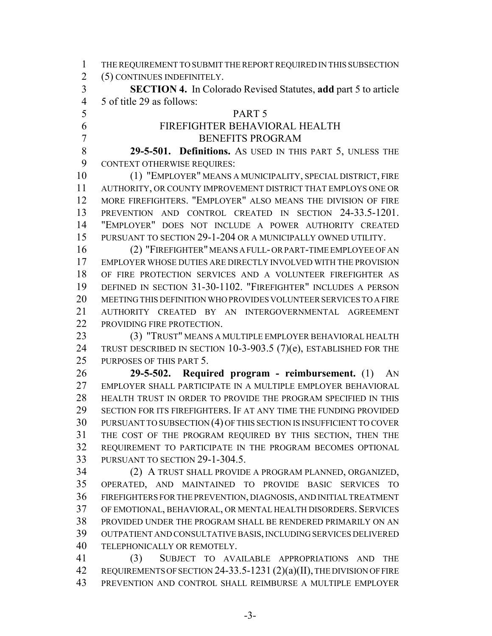THE REQUIREMENT TO SUBMIT THE REPORT REQUIRED IN THIS SUBSECTION (5) CONTINUES INDEFINITELY. **SECTION 4.** In Colorado Revised Statutes, **add** part 5 to article 5 of title 29 as follows: PART 5 FIREFIGHTER BEHAVIORAL HEALTH BENEFITS PROGRAM **29-5-501. Definitions.** AS USED IN THIS PART 5, UNLESS THE CONTEXT OTHERWISE REQUIRES: (1) "EMPLOYER" MEANS A MUNICIPALITY, SPECIAL DISTRICT, FIRE AUTHORITY, OR COUNTY IMPROVEMENT DISTRICT THAT EMPLOYS ONE OR MORE FIREFIGHTERS. "EMPLOYER" ALSO MEANS THE DIVISION OF FIRE PREVENTION AND CONTROL CREATED IN SECTION 24-33.5-1201. "EMPLOYER" DOES NOT INCLUDE A POWER AUTHORITY CREATED PURSUANT TO SECTION 29-1-204 OR A MUNICIPALLY OWNED UTILITY. (2) "FIREFIGHTER" MEANS A FULL- OR PART-TIME EMPLOYEE OF AN EMPLOYER WHOSE DUTIES ARE DIRECTLY INVOLVED WITH THE PROVISION OF FIRE PROTECTION SERVICES AND A VOLUNTEER FIREFIGHTER AS DEFINED IN SECTION 31-30-1102. "FIREFIGHTER" INCLUDES A PERSON MEETING THIS DEFINITION WHO PROVIDES VOLUNTEER SERVICES TO A FIRE AUTHORITY CREATED BY AN INTERGOVERNMENTAL AGREEMENT 22 PROVIDING FIRE PROTECTION. (3) "TRUST" MEANS A MULTIPLE EMPLOYER BEHAVIORAL HEALTH 24 TRUST DESCRIBED IN SECTION 10-3-903.5 (7)(e), ESTABLISHED FOR THE PURPOSES OF THIS PART 5. **29-5-502. Required program - reimbursement.** (1) AN EMPLOYER SHALL PARTICIPATE IN A MULTIPLE EMPLOYER BEHAVIORAL HEALTH TRUST IN ORDER TO PROVIDE THE PROGRAM SPECIFIED IN THIS SECTION FOR ITS FIREFIGHTERS. IF AT ANY TIME THE FUNDING PROVIDED PURSUANT TO SUBSECTION (4) OF THIS SECTION IS INSUFFICIENT TO COVER THE COST OF THE PROGRAM REQUIRED BY THIS SECTION, THEN THE REQUIREMENT TO PARTICIPATE IN THE PROGRAM BECOMES OPTIONAL PURSUANT TO SECTION 29-1-304.5. (2) A TRUST SHALL PROVIDE A PROGRAM PLANNED, ORGANIZED, OPERATED, AND MAINTAINED TO PROVIDE BASIC SERVICES TO FIREFIGHTERS FOR THE PREVENTION, DIAGNOSIS, AND INITIAL TREATMENT OF EMOTIONAL, BEHAVIORAL, OR MENTAL HEALTH DISORDERS. SERVICES PROVIDED UNDER THE PROGRAM SHALL BE RENDERED PRIMARILY ON AN OUTPATIENT AND CONSULTATIVE BASIS, INCLUDING SERVICES DELIVERED TELEPHONICALLY OR REMOTELY. (3) SUBJECT TO AVAILABLE APPROPRIATIONS AND THE REQUIREMENTS OF SECTION 24-33.5-1231 (2)(a)(II), THE DIVISION OF FIRE PREVENTION AND CONTROL SHALL REIMBURSE A MULTIPLE EMPLOYER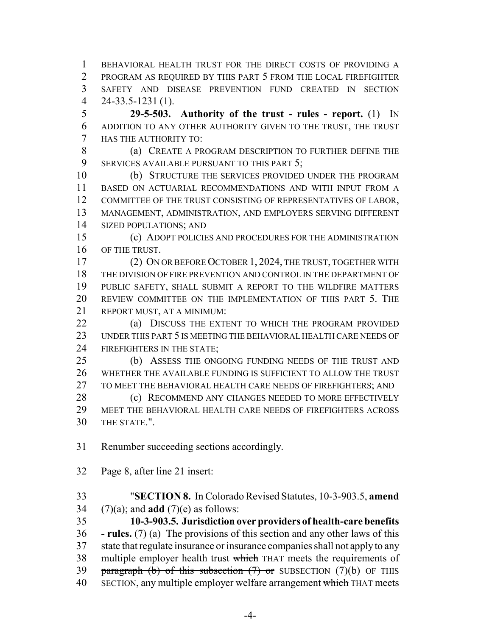BEHAVIORAL HEALTH TRUST FOR THE DIRECT COSTS OF PROVIDING A PROGRAM AS REQUIRED BY THIS PART 5 FROM THE LOCAL FIREFIGHTER SAFETY AND DISEASE PREVENTION FUND CREATED IN SECTION 24-33.5-1231 (1).

 **29-5-503. Authority of the trust - rules - report.** (1) IN ADDITION TO ANY OTHER AUTHORITY GIVEN TO THE TRUST, THE TRUST HAS THE AUTHORITY TO:

 (a) CREATE A PROGRAM DESCRIPTION TO FURTHER DEFINE THE SERVICES AVAILABLE PURSUANT TO THIS PART 5;

 (b) STRUCTURE THE SERVICES PROVIDED UNDER THE PROGRAM BASED ON ACTUARIAL RECOMMENDATIONS AND WITH INPUT FROM A COMMITTEE OF THE TRUST CONSISTING OF REPRESENTATIVES OF LABOR, MANAGEMENT, ADMINISTRATION, AND EMPLOYERS SERVING DIFFERENT SIZED POPULATIONS; AND

 (c) ADOPT POLICIES AND PROCEDURES FOR THE ADMINISTRATION OF THE TRUST.

 (2) ON OR BEFORE OCTOBER 1, 2024, THE TRUST, TOGETHER WITH THE DIVISION OF FIRE PREVENTION AND CONTROL IN THE DEPARTMENT OF PUBLIC SAFETY, SHALL SUBMIT A REPORT TO THE WILDFIRE MATTERS REVIEW COMMITTEE ON THE IMPLEMENTATION OF THIS PART 5. THE REPORT MUST, AT A MINIMUM:

**(a) DISCUSS THE EXTENT TO WHICH THE PROGRAM PROVIDED**  UNDER THIS PART 5 IS MEETING THE BEHAVIORAL HEALTH CARE NEEDS OF FIREFIGHTERS IN THE STATE;

 (b) ASSESS THE ONGOING FUNDING NEEDS OF THE TRUST AND WHETHER THE AVAILABLE FUNDING IS SUFFICIENT TO ALLOW THE TRUST TO MEET THE BEHAVIORAL HEALTH CARE NEEDS OF FIREFIGHTERS; AND 28 (c) RECOMMEND ANY CHANGES NEEDED TO MORE EFFECTIVELY MEET THE BEHAVIORAL HEALTH CARE NEEDS OF FIREFIGHTERS ACROSS

THE STATE.".

Renumber succeeding sections accordingly.

Page 8, after line 21 insert:

 "**SECTION 8.** In Colorado Revised Statutes, 10-3-903.5, **amend** (7)(a); and **add** (7)(e) as follows:

 **10-3-903.5. Jurisdiction over providers of health-care benefits - rules.** (7) (a) The provisions of this section and any other laws of this state that regulate insurance or insurance companies shall not apply to any 38 multiple employer health trust which THAT meets the requirements of 39 paragraph (b) of this subsection  $(7)$  or SUBSECTION  $(7)(b)$  OF THIS 40 SECTION, any multiple employer welfare arrangement which THAT meets